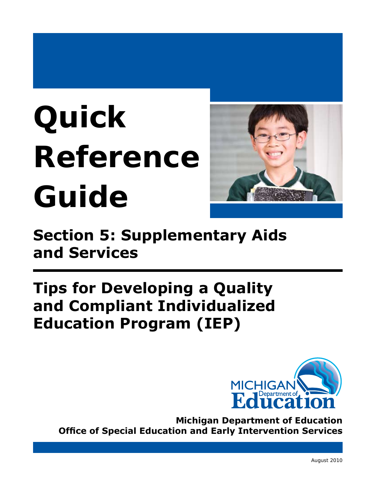# **Quick Reference Guide**



**Section 5: Supplementary Aids and Services**

## **Tips for Developing a Quality and Compliant Individualized Education Program (IEP)**



**Michigan Department of Education Office of Special Education and Early Intervention Services**

August 2010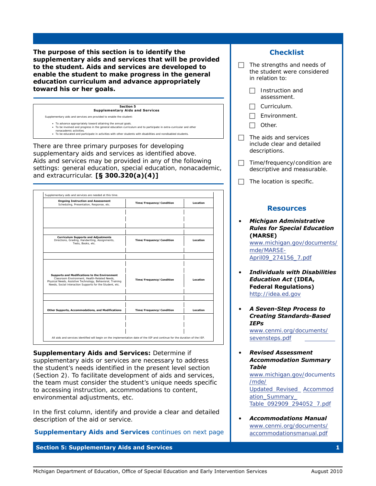**The purpose of this section is to identify the supplementary aids and services that will be provided to the student. Aids and services are developed to enable the student to make progress in the general education curriculum and advance appropriately toward his or her goals.**

#### *Section 5*  **Supplementary Aids and Services**

- entary aids and services are provided to enable the student:
- To advance appropriately toward attaining the annual goals.
- • To be involved and progress in the general education curriculum and to participate in extra-curricular and other nonacademic activities. • To be educated and participate in activities with other students with disabilities and nondisabled students.

There are three primary purposes for developing supplementary aids and services as identified above. Aids and services may be provided in any of the following settings: general education, special education, nonacademic, and extracurricular. **[§ 300.320(a)(4)]**

| <b>Ongoing Instruction and Assessment</b><br>Scheduling, Presentation, Response, etc.                                                                                                                                          | Time/Frequency/Condition | Location |
|--------------------------------------------------------------------------------------------------------------------------------------------------------------------------------------------------------------------------------|--------------------------|----------|
|                                                                                                                                                                                                                                |                          |          |
|                                                                                                                                                                                                                                |                          |          |
| <b>Curriculum Supports and Adjustments</b><br>Directions, Grading, Handwriting, Assignments,<br>Tests, Books, etc.                                                                                                             | Time/Frequency/Condition | Location |
|                                                                                                                                                                                                                                |                          |          |
|                                                                                                                                                                                                                                |                          |          |
| <b>Supports and Modifications to the Environment</b><br>Classroom Environment, Health-Related Needs,<br>Physical Needs, Assistive Technology, Behavioral, Training<br>Needs, Social Interaction Supports for the Student, etc. | Time/Frequency/Condition | Location |
|                                                                                                                                                                                                                                |                          |          |
| <b>Other Supports, Accommodations, and Modifications</b>                                                                                                                                                                       | Time/Frequency/Condition | Location |
|                                                                                                                                                                                                                                |                          |          |
|                                                                                                                                                                                                                                |                          |          |

*Supplementary Aids and Services:* Determine if supplementary aids or services are necessary to address the student's needs identified in the present level section (Section 2). To facilitate development of aids and services, the team must consider the student's unique needs specific to accessing instruction, accommodations to content, environmental adjustments, etc.

In the first column, identify and provide a clear and detailed description of the aid or service.

*Supplementary Aids and Services continues on next page* 

**Section 5: Supplementary Aids and Services 1**

### **Checklist**

- $\Box$  The strengths and needs of the student were considered in relation to:
	- $\Box$  Instruction and assessment.
	- $\Box$  Curriculum.
	- $\Box$  Environment.
	- $\Box$  Other.
- $\Box$  The aids and services include clear and detailed descriptions.
- $\Box$  Time/frequency/condition are descriptive and measurable.
- $\Box$  The location is specific.

#### **Resources**

*• Michigan Administrative Rules for Special Education* **(MARSE)** [www.michigan.gov/documents/](http://www.michigan.gov/documents/mde/MARSE-April09_274156_7.pdf)

mde/MARSE-[April09\\_274156\\_7.pdf](http://www.michigan.gov/documents/mde/MARSE-April09_274156_7.pdf)

- *• Individuals with Disabilities Education Act* **(IDEA, Federal Regulations)** [http://idea.ed.gov](http://idea.ed.gov/explore/view/p/%2Croot%2Cregs%2C)
- *• A Seven-Step Process to Creating Standards-Based IEPs*

[www.cenmi.org/documents/](www.cenmi.org/documents/sevensteps.pdf) [sevensteps.pdf](www.cenmi.org/documents/sevensteps.pdf)

*• Revised Assessment Accommodation Summary Table*

[www.michigan.gov/documents](www.michigan.gov/documents/mde/Updated_Revised_Accommodation_Summary_Table_092909_294052_7.pdf) /mde/ [Updated\\_Revised\\_](www.michigan.gov/documents/mde/Updated_Revised_Accommodation_Summary_Table_092909_294052_7.pdf) Accommod ation\_Summary\_ [Table\\_092909\\_294052\\_7.pdf](www.michigan.gov/documents/mde/Updated_Revised_Accommodation_Summary_Table_092909_294052_7.pdf)

*• Accommodations Manual* [www.cenmi.org/documents/](www.cenmi.org/documents/accommodationsmanual.pdf) [accommodationsmanual.pdf](www.cenmi.org/documents/accommodationsmanual.pdf)